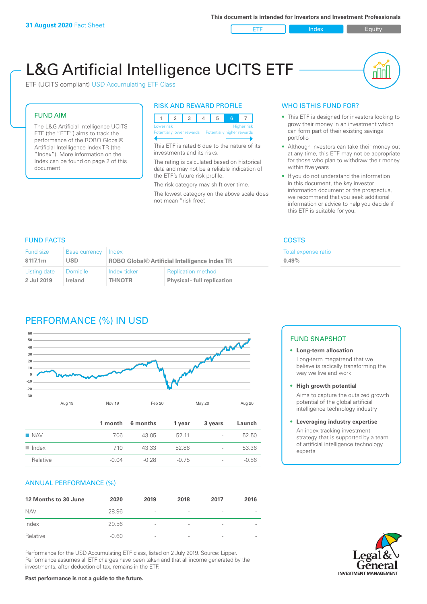ETF Index Buity

nl Inl

# L&G Artificial Intelligence UCITS ETF

ETF (UCITS compliant) USD Accumulating ETF Class

# FUND AIM

The L&G Artificial Intelligence UCITS ETF (the "ETF") aims to track the performance of the ROBO Global® Artificial Intelligence Index TR (the "Index"). More information on the Index can be found on page 2 of this document.

#### RISK AND REWARD PROFILE



This ETF is rated 6 due to the nature of its investments and its risks.

The rating is calculated based on historical data and may not be a reliable indication of the ETF's future risk profile.

The risk category may shift over time. The lowest category on the above scale does not mean "risk free".

# WHO IS THIS FUND FOR?

- This ETF is designed for investors looking to grow their money in an investment which can form part of their existing savings portfolio
- Although investors can take their money out at any time, this ETF may not be appropriate for those who plan to withdraw their money within five years
- If you do not understand the information in this document, the key investor information document or the prospectus, we recommend that you seek additional information or advice to help you decide if this ETF is suitable for you.

**0.49%**

Total expense ratio

# FUND FACTS COSTS

| Fund size    | <b>Base currency</b> | Index                                                |                                    |
|--------------|----------------------|------------------------------------------------------|------------------------------------|
| \$117.1m     | <b>USD</b>           | <b>ROBO Global® Artificial Intelligence Index TR</b> |                                    |
| Listing date | <b>Domicile</b>      | Index ticker                                         | <b>Replication method</b>          |
| 2 Jul 2019   | Ireland              | <b>THNOTR</b>                                        | <b>Physical - full replication</b> |

# PERFORMANCE (%) IN USD



|                      |         | 1 month 6 months | 1 year | 3 years                  | Launch  |
|----------------------|---------|------------------|--------|--------------------------|---------|
| $\blacksquare$ NAV   | 7.06    | 43.05            | 52 11  | $\overline{\phantom{a}}$ | 52.50   |
| $\blacksquare$ Index | 710     | 43.33            | 52.86  | $\overline{\phantom{a}}$ | 53.36   |
| Relative             | $-0.04$ | -0.28            | -0.75  | $\overline{\phantom{a}}$ | $-0.86$ |

# ANNUAL PERFORMANCE (%)

| 12 Months to 30 June | 2020    | 2019                     | 2018                     | 2017                     | 2016 |
|----------------------|---------|--------------------------|--------------------------|--------------------------|------|
| <b>NAV</b>           | 28.96   | $\overline{\phantom{a}}$ |                          | ۰                        |      |
| Index                | 29.56   | $\overline{\phantom{a}}$ | $\overline{\phantom{a}}$ | $\qquad \qquad$          |      |
| Relative             | $-0.60$ | $\overline{\phantom{a}}$ |                          | $\overline{\phantom{a}}$ |      |

Performance for the USD Accumulating ETF class, listed on 2 July 2019. Source: Lipper. Performance assumes all ETF charges have been taken and that all income generated by the investments, after deduction of tax, remains in the ETF.

#### FUND SNAPSHOT

**• Long-term allocation** Long-term megatrend that we believe is radically transforming the way we live and work

**• High growth potential** Aims to capture the outsized growth potential of the global artificial intelligence technology industry

#### **• Leveraging industry expertise** An index tracking investment strategy that is supported by a team of artificial intelligence technology experts

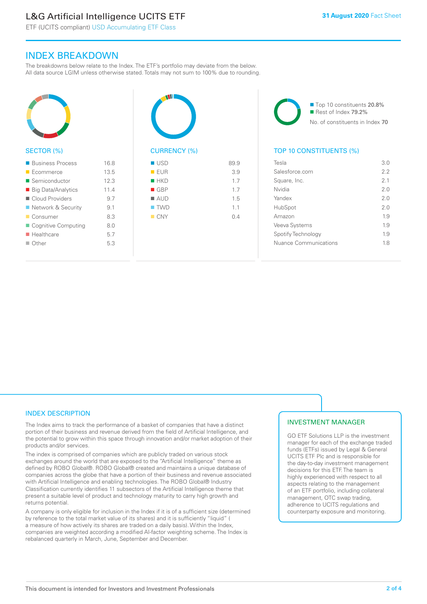# L&G Artificial Intelligence UCITS ETF

ETF (UCITS compliant) USD Accumulating ETF Class

# INDEX BREAKDOWN

The breakdowns below relate to the Index. The ETF's portfolio may deviate from the below. All data source LGIM unless otherwise stated. Totals may not sum to 100% due to rounding.



#### SECTOR (%)

| ■ Business Process        | 168  |
|---------------------------|------|
| Ecommerce                 | 13.5 |
| ■ Semiconductor           | 12.3 |
| ■ Big Data/Analytics      | 114  |
| Cloud Providers           | 9.7  |
| ■ Network & Security      | 9.1  |
| ■ Consumer                | 8.3  |
| ■ Cognitive Computing     | 8.0  |
| $\blacksquare$ Healthcare | 5.7  |
| $\blacksquare$ Other      | 5.3  |
|                           |      |



| - - - 1            | $\cup$ . $\cup$ |
|--------------------|-----------------|
| $H$ HKD            | 1.7             |
| $\blacksquare$ GBP | 1.7             |
| $\blacksquare$ AUD | 1.5             |
| $\blacksquare$ TWD | 1.1             |
| $\blacksquare$ CNY | 0.4             |
|                    |                 |
|                    |                 |

■ Top 10 constituents 20.8% Rest of Index 79.2% No. of constituents in Index 70

# TOP 10 CONSTITUENTS (%)

| Tesla                 | 3.0 |
|-----------------------|-----|
| Salesforce com        | 22  |
| Square, Inc.          | 21  |
| Nvidia                | 2 O |
| Yandex                | 2 O |
| HubSpot               | 2.0 |
| Amazon                | 19  |
| Veeva Systems         | 19  |
| Spotify Technology    | 1.9 |
| Nuance Communications | 18  |
|                       |     |

# INDEX DESCRIPTION

The Index aims to track the performance of a basket of companies that have a distinct portion of their business and revenue derived from the field of Artificial Intelligence, and the potential to grow within this space through innovation and/or market adoption of their products and/or services.

The index is comprised of companies which are publicly traded on various stock exchanges around the world that are exposed to the "Artificial Intelligence" theme as defined by ROBO Global®. ROBO Global® created and maintains a unique database of companies across the globe that have a portion of their business and revenue associated with Artificial Intelligence and enabling technologies. The ROBO Global® Industry Classification currently identifies 11 subsectors of the Artificial Intelligence theme that present a suitable level of product and technology maturity to carry high growth and returns potential.

A company is only eligible for inclusion in the Index if it is of a sufficient size (determined by reference to the total market value of its shares) and it is sufficiently "liquid" ( a measure of how actively its shares are traded on a daily basis). Within the Index, companies are weighted according a modified AI-factor weighting scheme. The Index is rebalanced quarterly in March, June, September and December.

# INVESTMENT MANAGER

GO ETF Solutions LLP is the investment manager for each of the exchange traded funds (ETFs) issued by Legal & General UCITS ETF Plc and is responsible for the day-to-day investment management decisions for this ETF. The team is highly experienced with respect to all aspects relating to the management of an ETF portfolio, including collateral management, OTC swap trading, adherence to UCITS regulations and counterparty exposure and monitoring.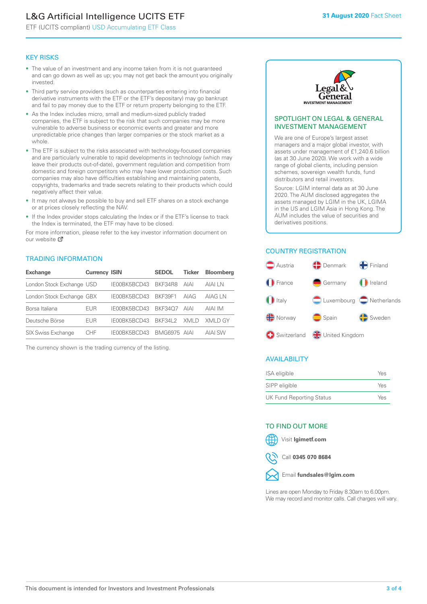# L&G Artificial Intelligence UCITS ETF

ETF (UCITS compliant) USD Accumulating ETF Class

#### KEY RISKS

- The value of an investment and any income taken from it is not guaranteed and can go down as well as up; you may not get back the amount you originally invested.
- Third party service providers (such as counterparties entering into financial derivative instruments with the ETF or the ETF's depositary) may go bankrupt and fail to pay money due to the ETF or return property belonging to the ETF.
- As the Index includes micro, small and medium-sized publicly traded companies, the ETF is subject to the risk that such companies may be more vulnerable to adverse business or economic events and greater and more unpredictable price changes than larger companies or the stock market as a whole.
- The ETF is subject to the risks associated with technology-focused companies and are particularly vulnerable to rapid developments in technology (which may leave their products out-of-date), government regulation and competition from domestic and foreign competitors who may have lower production costs. Such companies may also have difficulties establishing and maintaining patents, copyrights, trademarks and trade secrets relating to their products which could negatively affect their value.
- It may not always be possible to buy and sell ETF shares on a stock exchange or at prices closely reflecting the NAV.
- If the Index provider stops calculating the Index or if the ETF's license to track the Index is terminated, the ETF may have to be closed.

For more information, please refer to the key investor information document on our website Ø

#### TRADING INFORMATION

| <b>Exchange</b>           | <b>Currency ISIN</b> |              | <b>SEDOL</b> | Ticker | <b>Bloomberg</b> |
|---------------------------|----------------------|--------------|--------------|--------|------------------|
| London Stock Exchange USD |                      | IE00BK5BCD43 | BKF34R8      | AIAI   | AIAI I N         |
| London Stock Exchange GBX |                      | IE00BK5BCD43 | BKF39F1      | AIAG   | AIAG LN          |
| Borsa Italiana            | EUR                  | IE00BK5BCD43 | BKF3407      | AIAI   | AIAI IM          |
| Deutsche Börse            | EUR                  | IE00BK5BCD43 | BKF34L2      | XMI D  | XMI D GY         |
| <b>SIX Swiss Exchange</b> | CHE                  | IE00BK5BCD43 | BMG6975 AIAI |        | <b>AIAI SW</b>   |

The currency shown is the trading currency of the listing.



#### SPOTLIGHT ON LEGAL & GENERAL INVESTMENT MANAGEMENT

We are one of Europe's largest asset managers and a major global investor, with assets under management of £1,240.6 billion (as at 30 June 2020). We work with a wide range of global clients, including pension schemes, sovereign wealth funds, fund distributors and retail investors.

Source: LGIM internal data as at 30 June 2020. The AUM disclosed aggregates the assets managed by LGIM in the UK, LGIMA in the US and LGIM Asia in Hong Kong. The AUM includes the value of securities and derivatives positions.

# COUNTRY REGISTRATION



# AVAILABILITY

| ISA eligible                    | Yes |
|---------------------------------|-----|
| SIPP eligible                   | Yes |
| <b>UK Fund Reporting Status</b> | Yes |

#### TO FIND OUT MORE



Call **0345 070 8684**



Lines are open Monday to Friday 8.30am to 6.00pm. We may record and monitor calls. Call charges will vary.